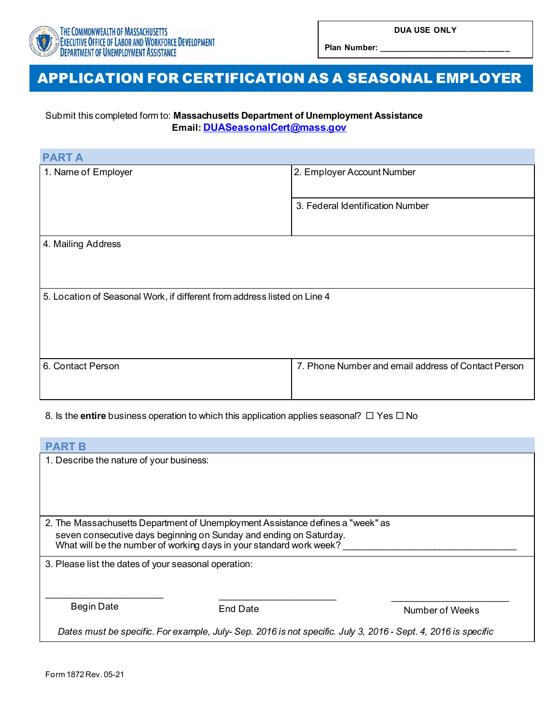

**Plan Number: \_\_\_\_\_\_\_\_\_\_\_\_\_\_\_\_\_\_\_\_\_\_\_\_\_\_\_\_\_**

## APPLICATION FOR CERTIFICATION AS A SEASONAL EMPLOYER

## Submit this completed form to: **Massachusetts Department of Unemployment Assistance Email: [DUASeasonalCert@mass.gov](mailto:DUASeasonalCert@mass.gov)**

| <b>PART A</b>                                                            |                                                     |
|--------------------------------------------------------------------------|-----------------------------------------------------|
| 1. Name of Employer                                                      | 2. Employer Account Number                          |
|                                                                          | 3. Federal Identification Number                    |
| 4. Mailing Address                                                       |                                                     |
| 5. Location of Seasonal Work, if different from address listed on Line 4 |                                                     |
| 6. Contact Person                                                        | 7. Phone Number and email address of Contact Person |

## 8. Is the **entire** business operation to which this application applies seasonal?  $\Box$  Yes  $\Box$  No

| <b>PART B</b>                                                                                                                                                                                                               |          |                 |  |  |
|-----------------------------------------------------------------------------------------------------------------------------------------------------------------------------------------------------------------------------|----------|-----------------|--|--|
| 1. Describe the nature of your business:                                                                                                                                                                                    |          |                 |  |  |
|                                                                                                                                                                                                                             |          |                 |  |  |
|                                                                                                                                                                                                                             |          |                 |  |  |
|                                                                                                                                                                                                                             |          |                 |  |  |
| 2. The Massachusetts Department of Unemployment Assistance defines a "week" as<br>seven consecutive days beginning on Sunday and ending on Saturday.<br>What will be the number of working days in your standard work week? |          |                 |  |  |
| 3. Please list the dates of your seasonal operation:                                                                                                                                                                        |          |                 |  |  |
|                                                                                                                                                                                                                             |          |                 |  |  |
|                                                                                                                                                                                                                             |          |                 |  |  |
| <b>Begin Date</b>                                                                                                                                                                                                           | End Date | Number of Weeks |  |  |
| Dates must be specific. For example, July-Sep. 2016 is not specific. July 3, 2016 - Sept. 4, 2016 is specific                                                                                                               |          |                 |  |  |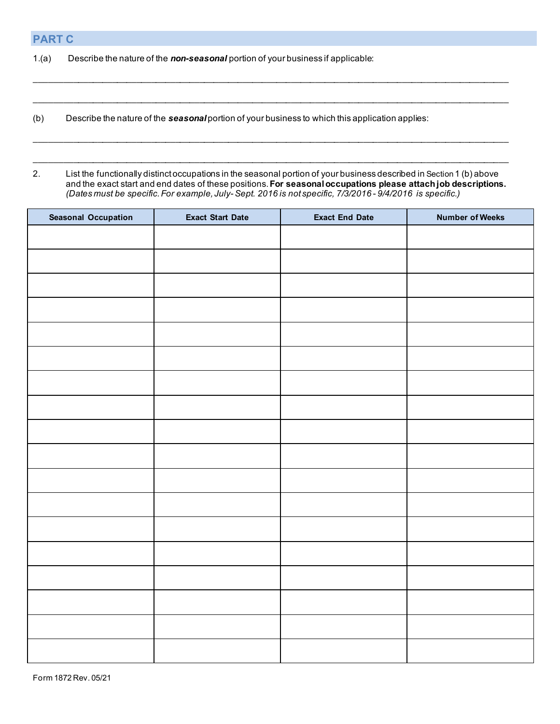1.(a) Describe the nature of the *non-seasonal* portion of your business if applicable:

(b) Describe the nature of the *seasonal* portion of your business to which this application applies:

2. List the functionally distinct occupations in the seasonal portion of your business described in Section 1 (b) above and the exact start and end dates of these positions. **For seasonal occupations please attach job descriptions.** *(Dates must be specific. For example, July- Sept. 2016 is not specific, 7/3/2016* - *9/4/2016 is specific.)*

 $\mathcal{L}_\mathcal{L} = \{ \mathcal{L}_\mathcal{L} = \{ \mathcal{L}_\mathcal{L} = \{ \mathcal{L}_\mathcal{L} = \{ \mathcal{L}_\mathcal{L} = \{ \mathcal{L}_\mathcal{L} = \{ \mathcal{L}_\mathcal{L} = \{ \mathcal{L}_\mathcal{L} = \{ \mathcal{L}_\mathcal{L} = \{ \mathcal{L}_\mathcal{L} = \{ \mathcal{L}_\mathcal{L} = \{ \mathcal{L}_\mathcal{L} = \{ \mathcal{L}_\mathcal{L} = \{ \mathcal{L}_\mathcal{L} = \{ \mathcal{L}_\mathcal{$ 

 $\mathcal{L}_\mathcal{L} = \{ \mathcal{L}_\mathcal{L} = \{ \mathcal{L}_\mathcal{L} = \{ \mathcal{L}_\mathcal{L} = \{ \mathcal{L}_\mathcal{L} = \{ \mathcal{L}_\mathcal{L} = \{ \mathcal{L}_\mathcal{L} = \{ \mathcal{L}_\mathcal{L} = \{ \mathcal{L}_\mathcal{L} = \{ \mathcal{L}_\mathcal{L} = \{ \mathcal{L}_\mathcal{L} = \{ \mathcal{L}_\mathcal{L} = \{ \mathcal{L}_\mathcal{L} = \{ \mathcal{L}_\mathcal{L} = \{ \mathcal{L}_\mathcal{$ 

 $\mathcal{L}_\mathcal{L} = \mathcal{L}_\mathcal{L} = \mathcal{L}_\mathcal{L} = \mathcal{L}_\mathcal{L} = \mathcal{L}_\mathcal{L} = \mathcal{L}_\mathcal{L} = \mathcal{L}_\mathcal{L} = \mathcal{L}_\mathcal{L} = \mathcal{L}_\mathcal{L} = \mathcal{L}_\mathcal{L} = \mathcal{L}_\mathcal{L} = \mathcal{L}_\mathcal{L} = \mathcal{L}_\mathcal{L} = \mathcal{L}_\mathcal{L} = \mathcal{L}_\mathcal{L} = \mathcal{L}_\mathcal{L} = \mathcal{L}_\mathcal{L}$ 

 $\mathcal{L}_\mathcal{L} = \mathcal{L}_\mathcal{L} = \mathcal{L}_\mathcal{L} = \mathcal{L}_\mathcal{L} = \mathcal{L}_\mathcal{L} = \mathcal{L}_\mathcal{L} = \mathcal{L}_\mathcal{L} = \mathcal{L}_\mathcal{L} = \mathcal{L}_\mathcal{L} = \mathcal{L}_\mathcal{L} = \mathcal{L}_\mathcal{L} = \mathcal{L}_\mathcal{L} = \mathcal{L}_\mathcal{L} = \mathcal{L}_\mathcal{L} = \mathcal{L}_\mathcal{L} = \mathcal{L}_\mathcal{L} = \mathcal{L}_\mathcal{L}$ 

| <b>Seasonal Occupation</b> | <b>Exact Start Date</b> | <b>Exact End Date</b> | <b>Number of Weeks</b> |
|----------------------------|-------------------------|-----------------------|------------------------|
|                            |                         |                       |                        |
|                            |                         |                       |                        |
|                            |                         |                       |                        |
|                            |                         |                       |                        |
|                            |                         |                       |                        |
|                            |                         |                       |                        |
|                            |                         |                       |                        |
|                            |                         |                       |                        |
|                            |                         |                       |                        |
|                            |                         |                       |                        |
|                            |                         |                       |                        |
|                            |                         |                       |                        |
|                            |                         |                       |                        |
|                            |                         |                       |                        |
|                            |                         |                       |                        |
|                            |                         |                       |                        |
|                            |                         |                       |                        |
|                            |                         |                       |                        |